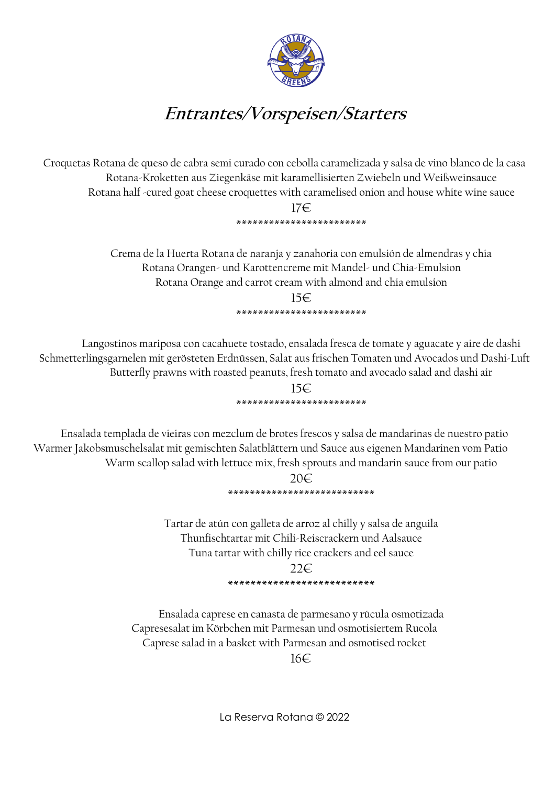

## **Entrantes/Vorspeisen/Starters**

Croquetas Rotana de queso de cabra semi curado con cebolla caramelizada y salsa de vino blanco de la casa Rotana-Kroketten aus Ziegenkäse mit karamellisierten Zwiebeln und Weißweinsauce Rotana half -cured goat cheese croquettes with caramelised onion and house white wine sauce

#### 17€ \*\*\*\*\*\*\*\*\*\*\*\*\*\*\*\*\*\*\*\*\*\*\*\*

Crema de la Huerta Rotana de naranja y zanahoria con emulsión de almendras y chia Rotana Orangen- und Karottencreme mit Mandel- und Chia-Emulsion Rotana Orange and carrot cream with almond and chia emulsion

> 15€ \*\*\*\*\*\*\*\*\*\*\*\*\*\*\*\*\*\*\*\*\*\*\*\*

Langostinos mariposa con cacahuete tostado, ensalada fresca de tomate y aguacate y aire de dashi Schmetterlingsgarnelen mit gerösteten Erdnüssen, Salat aus frischen Tomaten und Avocados und Dashi-Luft Butterfly prawns with roasted peanuts, fresh tomato and avocado salad and dashi air

> 15€ \*\*\*\*\*\*\*\*\*\*\*\*\*\*\*\*\*\*\*\*\*\*\*\*

Ensalada templada de vieiras con mezclum de brotes frescos y salsa de mandarinas de nuestro patio Warmer Jakobsmuschelsalat mit gemischten Salatblättern und Sauce aus eigenen Mandarinen vom Patio Warm scallop salad with lettuce mix, fresh sprouts and mandarin sauce from our patio

> 20€ \*\*\*\*\*\*\*\*\*\*\*\*\*\*\*\*\*\*\*\*\*\*\*\*\*\*\*

Tartar de atún con galleta de arroz al chilly y salsa de anguila Thunfischtartar mit Chili-Reiscrackern und Aalsauce Tuna tartar with chilly rice crackers and eel sauce  $22\varepsilon$ 

**\*\*\*\*\*\*\*\*\*\*\*\*\*\*\*\*\*\*\*\*\*\*\*\*\*\*** 

Ensalada caprese en canasta de parmesano y rúcula osmotizada Capresesalat im Körbchen mit Parmesan und osmotisiertem Rucola Caprese salad in a basket with Parmesan and osmotised rocket 16€

La Reserva Rotana © 2022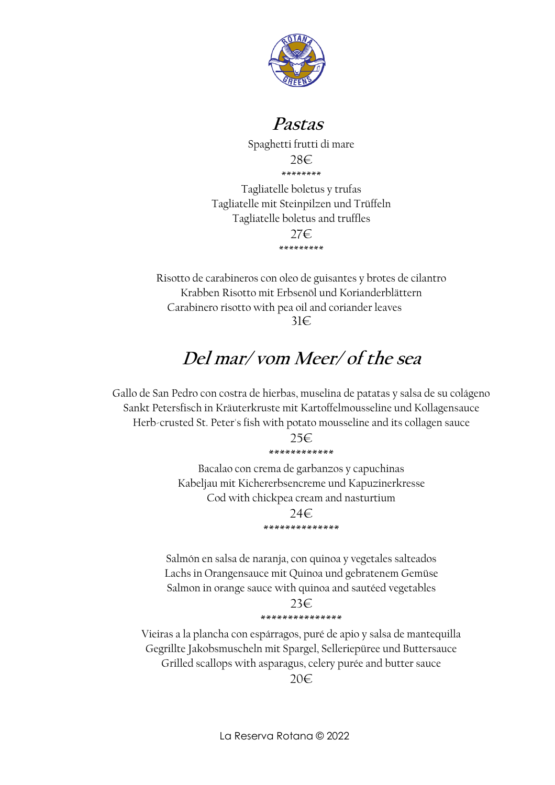

### **Pastas**

Spaghetti frutti di mare 28€ \*\*\*\*\*\*\*\*

Tagliatelle boletus y trufas Tagliatelle mit Steinpilzen und Trüffeln Tagliatelle boletus and truffles 27€ \*\*\*\*\*\*\*\*\*

Risotto de carabineros con oleo de guisantes y brotes de cilantro Krabben Risotto mit Erbsenöl und Korianderblättern Carabinero risotto with pea oil and coriander leaves 31€

### **Del mar/ vom Meer/ of the sea**

Gallo de San Pedro con costra de hierbas, muselina de patatas y salsa de su colágeno Sankt Petersfisch in Kräuterkruste mit Kartoffelmousseline und Kollagensauce Herb-crusted St. Peter's fish with potato mousseline and its collagen sauce

> 25€ \*\*\*\*\*\*\*\*\*\*\*\*

Bacalao con crema de garbanzos y capuchinas Kabeljau mit Kichererbsencreme und Kapuzinerkresse Cod with chickpea cream and nasturtium

> 24€ \*\*\*\*\*\*\*\*\*\*\*\*\*\*

Salmón en salsa de naranja, con quinoa y vegetales salteados Lachs in Orangensauce mit Quinoa und gebratenem Gemüse Salmon in orange sauce with quinoa and sautéed vegetables

> 23€ \*\*\*\*\*\*\*\*\*\*\*\*\*\*\*

Vieiras a la plancha con espárragos, puré de apio y salsa de mantequilla Gegrillte Jakobsmuscheln mit Spargel, Selleriepüree und Buttersauce Grilled scallops with asparagus, celery purée and butter sauce

20€

La Reserva Rotana © 2022